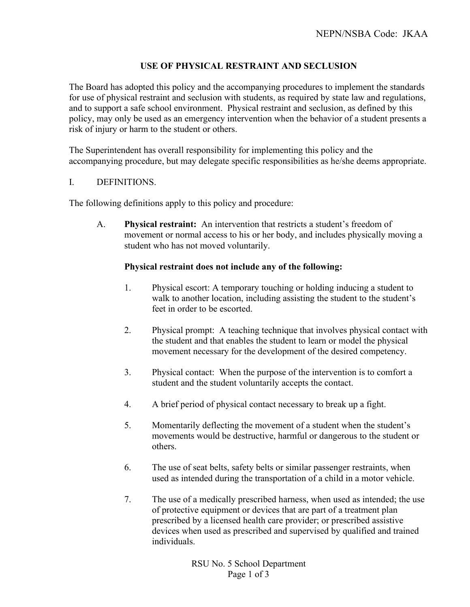## **USE OF PHYSICAL RESTRAINT AND SECLUSION**

The Board has adopted this policy and the accompanying procedures to implement the standards for use of physical restraint and seclusion with students, as required by state law and regulations, and to support a safe school environment. Physical restraint and seclusion, as defined by this policy, may only be used as an emergency intervention when the behavior of a student presents a risk of injury or harm to the student or others.

The Superintendent has overall responsibility for implementing this policy and the accompanying procedure, but may delegate specific responsibilities as he/she deems appropriate.

### I. DEFINITIONS.

The following definitions apply to this policy and procedure:

A. **Physical restraint:** An intervention that restricts a student's freedom of movement or normal access to his or her body, and includes physically moving a student who has not moved voluntarily.

#### **Physical restraint does not include any of the following:**

- 1. Physical escort: A temporary touching or holding inducing a student to walk to another location, including assisting the student to the student's feet in order to be escorted.
- 2. Physical prompt: A teaching technique that involves physical contact with the student and that enables the student to learn or model the physical movement necessary for the development of the desired competency.
- 3. Physical contact: When the purpose of the intervention is to comfort a student and the student voluntarily accepts the contact.
- 4. A brief period of physical contact necessary to break up a fight.
- 5. Momentarily deflecting the movement of a student when the student's movements would be destructive, harmful or dangerous to the student or others.
- 6. The use of seat belts, safety belts or similar passenger restraints, when used as intended during the transportation of a child in a motor vehicle.
- 7. The use of a medically prescribed harness, when used as intended; the use of protective equipment or devices that are part of a treatment plan prescribed by a licensed health care provider; or prescribed assistive devices when used as prescribed and supervised by qualified and trained individuals.

RSU No. 5 School Department Page 1 of 3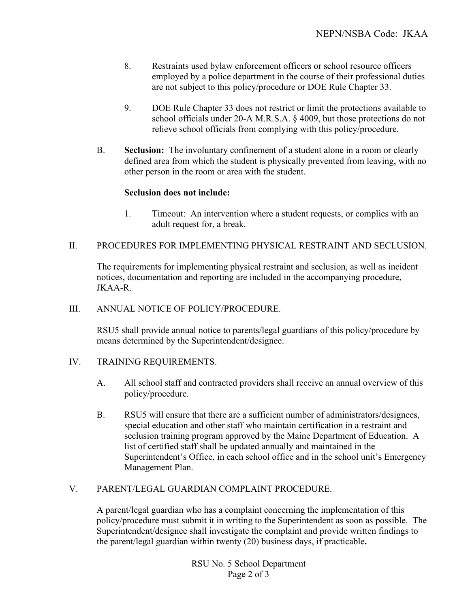- 8. Restraints used bylaw enforcement officers or school resource officers employed by a police department in the course of their professional duties are not subject to this policy/procedure or DOE Rule Chapter 33.
- 9. DOE Rule Chapter 33 does not restrict or limit the protections available to school officials under 20-A M.R.S.A. § 4009, but those protections do not relieve school officials from complying with this policy/procedure.
- B. **Seclusion:** The involuntary confinement of a student alone in a room or clearly defined area from which the student is physically prevented from leaving, with no other person in the room or area with the student.

### **Seclusion does not include:**

1. Timeout: An intervention where a student requests, or complies with an adult request for, a break.

### II. PROCEDURES FOR IMPLEMENTING PHYSICAL RESTRAINT AND SECLUSION.

The requirements for implementing physical restraint and seclusion, as well as incident notices, documentation and reporting are included in the accompanying procedure, JKAA-R.

### III. ANNUAL NOTICE OF POLICY/PROCEDURE.

RSU5 shall provide annual notice to parents/legal guardians of this policy/procedure by means determined by the Superintendent/designee.

### IV. TRAINING REQUIREMENTS.

- A. All school staff and contracted providers shall receive an annual overview of this policy/procedure.
- B. RSU5 will ensure that there are a sufficient number of administrators/designees, special education and other staff who maintain certification in a restraint and seclusion training program approved by the Maine Department of Education. A list of certified staff shall be updated annually and maintained in the Superintendent's Office, in each school office and in the school unit's Emergency Management Plan.

# V. PARENT/LEGAL GUARDIAN COMPLAINT PROCEDURE.

A parent/legal guardian who has a complaint concerning the implementation of this policy/procedure must submit it in writing to the Superintendent as soon as possible. The Superintendent/designee shall investigate the complaint and provide written findings to the parent/legal guardian within twenty (20) business days, if practicable**.** 

> RSU No. 5 School Department Page 2 of 3